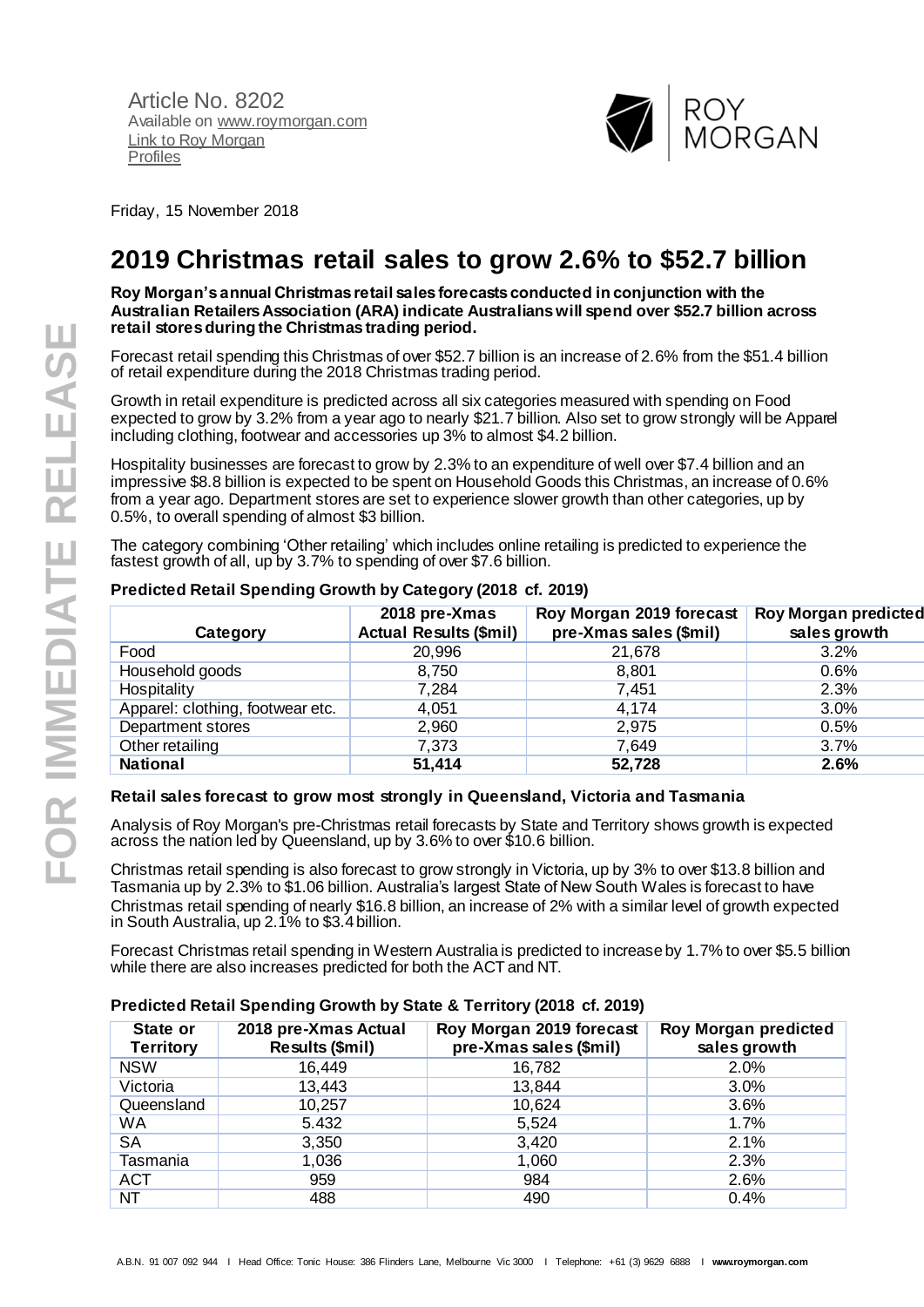Article No. 8202 Available o[n www.roymorgan.com](http://www.roymorgan.com/) Link t[o Roy Morgan](http://www.roymorganonlinestore.com/Browse/Australia/Media.aspx)  [Profiles](http://www.roymorganonlinestore.com/Browse/Australia/Media.aspx)



Friday, 15 November 2018

# **2019 Christmas retail sales to grow 2.6% to \$52.7 billion**

**Roy Morgan's annual Christmas retail sales forecasts conducted in conjunction with the Australian Retailers Association (ARA) indicate Australians will spend over \$52.7 billion across retail stores during the Christmas trading period.**

Forecast retail spending this Christmas of over \$52.7 billion is an increase of 2.6% from the \$51.4 billion of retail expenditure during the 2018 Christmas trading period.

Growth in retail expenditure is predicted across all six categories measured with spending on Food expected to grow by 3.2% from a year ago to nearly \$21.7 billion. Also set to grow strongly will be Apparel including clothing, footwear and accessories up 3% to almost \$4.2 billion.

Hospitality businesses are forecast to grow by 2.3% to an expenditure of well over \$7.4 billion and an impressive \$8.8 billion is expected to be spent on Household Goods this Christmas, an increase of 0.6% from a year ago. Department stores are set to experience slower growth than other categories, up by 0.5%, to overall spending of almost \$3 billion.

The category combining 'Other retailing' which includes online retailing is predicted to experience the fastest growth of all, up by 3.7% to spending of over \$7.6 billion.

| Category                         | 2018 pre-Xmas<br><b>Actual Results (\$mil)</b> | Roy Morgan 2019 forecast<br>pre-Xmas sales (\$mil) | <b>Roy Morgan predicted</b><br>sales growth |
|----------------------------------|------------------------------------------------|----------------------------------------------------|---------------------------------------------|
| Food                             | 20,996                                         | 21,678                                             | 3.2%                                        |
| Household goods                  | 8,750                                          | 8,801                                              | 0.6%                                        |
| Hospitality                      | 7,284                                          | 7,451                                              | 2.3%                                        |
| Apparel: clothing, footwear etc. | 4,051                                          | 4,174                                              | 3.0%                                        |
| Department stores                | 2,960                                          | 2,975                                              | 0.5%                                        |
| Other retailing                  | 7,373                                          | 7,649                                              | 3.7%                                        |
| <b>National</b>                  | 51,414                                         | 52,728                                             | 2.6%                                        |

## **Predicted Retail Spending Growth by Category (2018 cf. 2019)**

## **Retail sales forecast to grow most strongly in Queensland, Victoria and Tasmania**

Analysis of Roy Morgan's pre-Christmas retail forecasts by State and Territory shows growth is expected across the nation led by Queensland, up by 3.6% to over \$10.6 billion.

Christmas retail spending is also forecast to grow strongly in Victoria, up by 3% to over \$13.8 billion and Tasmania up by 2.3% to \$1.06 billion. Australia's largest State of New South Wales is forecast to have Christmas retail spending of nearly \$16.8 billion, an increase of 2% with a similar level of growth expected in South Australia, up 2.1% to \$3.4 billion.

Forecast Christmas retail spending in Western Australia is predicted to increase by 1.7% to over \$5.5 billion while there are also increases predicted for both the ACT and NT.

## **Predicted Retail Spending Growth by State & Territory (2018 cf. 2019)**

| State or<br><b>Territory</b> | 2018 pre-Xmas Actual<br>Results (\$mil) | Roy Morgan 2019 forecast<br>pre-Xmas sales (\$mil) | <b>Roy Morgan predicted</b><br>sales growth |
|------------------------------|-----------------------------------------|----------------------------------------------------|---------------------------------------------|
| <b>NSW</b>                   | 16,449                                  | 16,782                                             | 2.0%                                        |
| Victoria                     | 13,443                                  | 13,844                                             | 3.0%                                        |
| Queensland                   | 10,257                                  | 10,624                                             | 3.6%                                        |
| WA                           | 5.432                                   | 5,524                                              | 1.7%                                        |
| <b>SA</b>                    | 3,350                                   | 3,420                                              | 2.1%                                        |
| Tasmania                     | 1,036                                   | 1,060                                              | 2.3%                                        |
| <b>ACT</b>                   | 959                                     | 984                                                | 2.6%                                        |
| NT.                          | 488                                     | 490                                                | 0.4%                                        |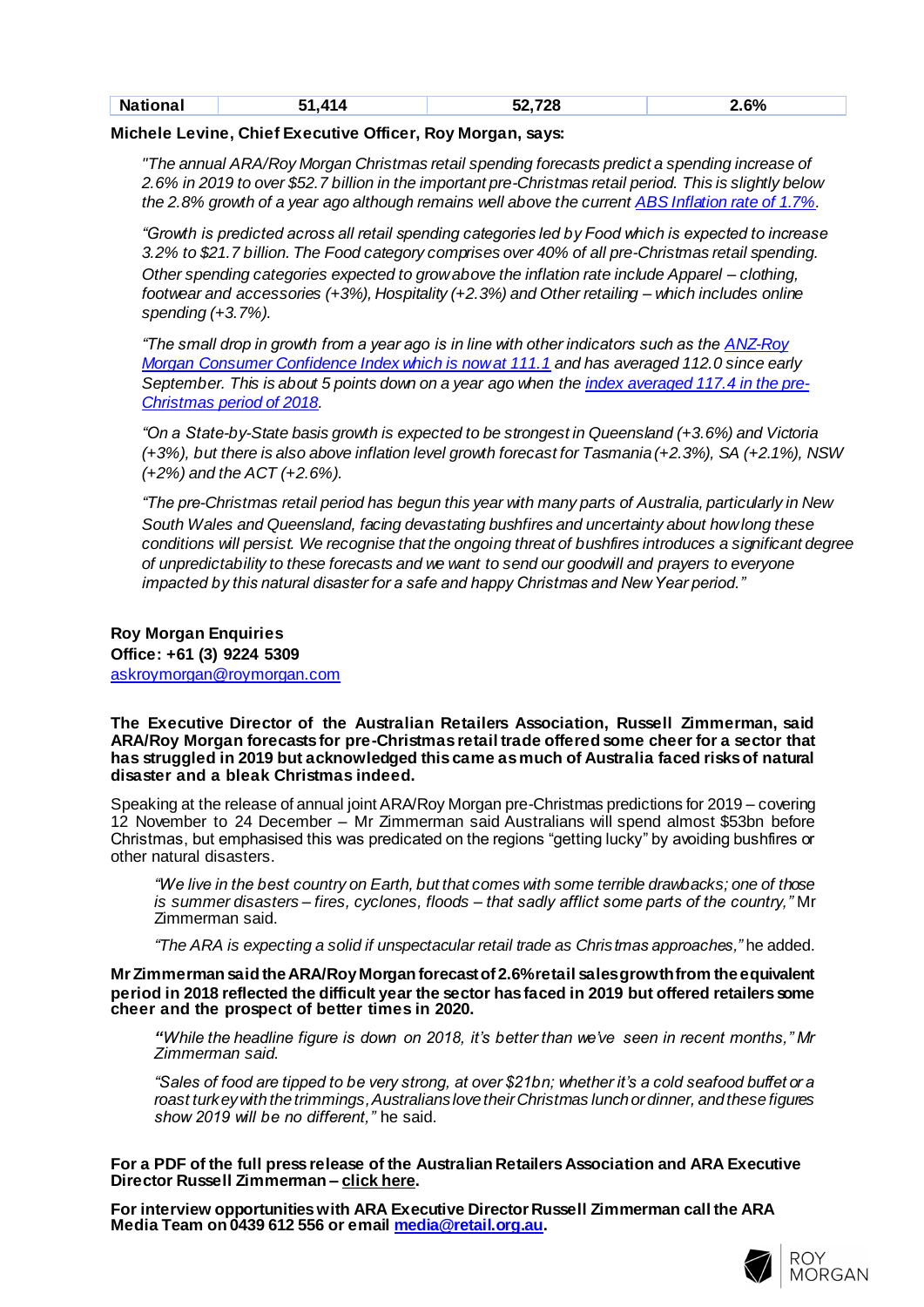| ----<br>____ | $\sim$ $\sim$ $\sim$<br>Ν۶ |  | ີດດ $\blacksquare$ | c٥<br>- 60<br>70<br>. |
|--------------|----------------------------|--|--------------------|-----------------------|
|--------------|----------------------------|--|--------------------|-----------------------|

#### **Michele Levine, Chief Executive Officer, Roy Morgan, says:**

*"The annual ARA/Roy Morgan Christmas retail spending forecasts predict a spending increase of 2.6% in 2019 to over \$52.7 billion in the important pre-Christmas retail period. This is slightly below the 2.8% growth of a year ago although remains well above the curren[t ABS Inflation rate of 1.7%](https://www.abs.gov.au/AUSSTATS/abs@.nsf/mf/6401.0?opendocument&ref=HPKI).*

*"Growth is predicted across all retail spending categories led by Food which is expected to increase 3.2% to \$21.7 billion. The Food category comprises over 40% of all pre-Christmas retail spending. Other spending categories expected to grow above the inflation rate include Apparel – clothing, footwear and accessories (+3%), Hospitality (+2.3%) and Other retailing – which includes online spending (+3.7%).*

*"The small drop in growth from a year ago is in line with other indicators such as th[e ANZ-Roy](http://www.roymorgan.com/findings/8132-anz-roy-morgan-consumer-confidence-down-to-111-point-1-201911110740)  [Morgan Consumer Confidence Index which is now at 111.1](http://www.roymorgan.com/findings/8132-anz-roy-morgan-consumer-confidence-down-to-111-point-1-201911110740) and has averaged 112.0 since early September. This is about 5 points down on a year ago when th[e index averaged 117.4](http://www.roymorgan.com/morganpoll/consumer-confidence/consumer-monthly-results) in the pre-[Christmas period of 2018](http://www.roymorgan.com/morganpoll/consumer-confidence/consumer-monthly-results).*

*"On a State-by-State basis growth is expected to be strongest in Queensland (+3.6%) and Victoria (+3%), but there is also above inflation level growth forecast for Tasmania (+2.3%), SA (+2.1%), NSW (+2%) and the ACT (+2.6%).*

*"The pre-Christmas retail period has begun this year with many parts of Australia, particularly in New South Wales and Queensland, facing devastating bushfires and uncertainty about how long these conditions will persist. We recognise that the ongoing threat of bushfires introduces a significant degree of unpredictability to these forecasts and we want to send our goodwill and prayers to everyone impacted by this natural disaster for a safe and happy Christmas and New Year period."*

## **Roy Morgan Enquiries Office: +61 (3) 9224 5309** [askroymorgan@roymorgan.com](mailto:askroymorgan@roymorgan.com)

**The Executive Director of the Australian Retailers Association, Russell Zimmerman, said ARA/Roy Morgan forecasts for pre-Christmas retail trade offered some cheer for a sector that has struggled in 2019 but acknowledged this came as much of Australia faced risks of natural disaster and a bleak Christmas indeed.**

Speaking at the release of annual joint ARA/Roy Morgan pre-Christmas predictions for 2019 – covering 12 November to 24 December – Mr Zimmerman said Australians will spend almost \$53bn before Christmas, but emphasised this was predicated on the regions "getting lucky" by avoiding bushfires or other natural disasters.

*"We live in the best country on Earth, but that comes with some terrible drawbacks; one of those is summer disasters – fires, cyclones, floods – that sadly afflict some parts of the country,"* Mr Zimmerman said.

*"The ARA is expecting a solid if unspectacular retail trade as Christmas approaches,"* he added.

**Mr Zimmerman said the ARA/Roy Morgan forecast of 2.6% retail sales growth from the equivalent period in 2018 reflected the difficult year the sector has faced in 2019 but offered retailers some cheer and the prospect of better times in 2020.**

*"While the headline figure is down on 2018, it's better than we've seen in recent months," Mr Zimmerman said.*

*"Sales of food are tipped to be very strong, at over \$21bn; whether it's a cold seafood buffet or a roast turkey with the trimmings, Australians love their Christmas lunch or dinner, and these figures show 2019 will be no different,"* he said.

**For a PDF of the full press release of the Australian Retailers Association and ARA Executive Director Russell Zimmerman – click here.**

**For interview opportunities with ARA Executive Director Russell Zimmerman call the ARA Media Team on 0439 612 556 or emai[l media@retail.org.au](mailto:media@retail.org.au).**